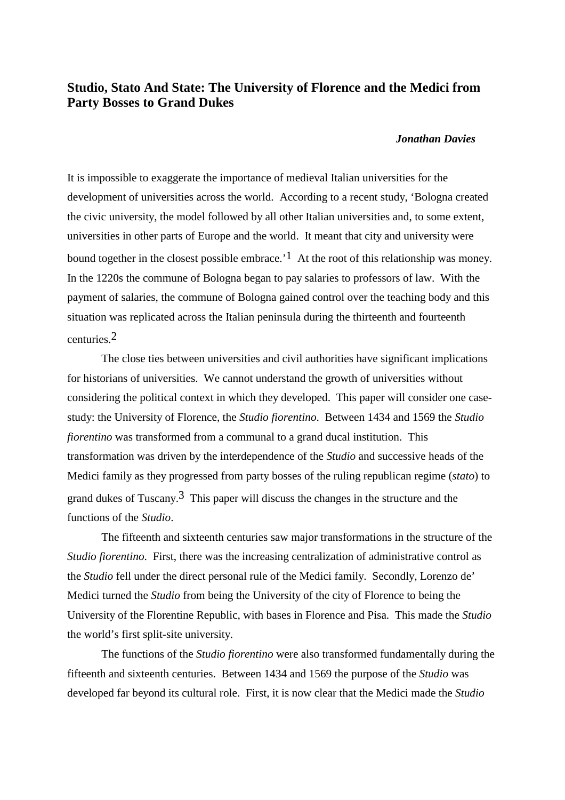## **Studio, Stato And State: The University of Florence and the Medici from Party Bosses to Grand Dukes**

## *Jonathan Davies*

It is impossible to exaggerate the importance of medieval Italian universities for the development of universities across the world. According to a recent study, 'Bologna created the civic university, the model followed by all other Italian universities and, to some extent, universities in other parts of Europe and the world. It meant that city and university were bound together in the closest possible embrace.<sup> $1$ </sup> At the root of this relationship was money. In the 1220s the commune of Bologna began to pay salaries to professors of law. With the payment of salaries, the commune of Bologna gained control over the teaching body and this situation was replicated across the Italian peninsula during the thirteenth and fourteenth centuries.2

The close ties between universities and civil authorities have significant implications for historians of universities. We cannot understand the growth of universities without considering the political context in which they developed. This paper will consider one casestudy: the University of Florence, the *Studio fiorentino*. Between 1434 and 1569 the *Studio fiorentino* was transformed from a communal to a grand ducal institution. This transformation was driven by the interdependence of the *Studio* and successive heads of the Medici family as they progressed from party bosses of the ruling republican regime (*stato*) to grand dukes of Tuscany.<sup>3</sup> This paper will discuss the changes in the structure and the functions of the *Studio*.

The fifteenth and sixteenth centuries saw major transformations in the structure of the *Studio fiorentino*. First, there was the increasing centralization of administrative control as the *Studio* fell under the direct personal rule of the Medici family. Secondly, Lorenzo de' Medici turned the *Studio* from being the University of the city of Florence to being the University of the Florentine Republic, with bases in Florence and Pisa. This made the *Studio* the world's first split-site university.

The functions of the *Studio fiorentino* were also transformed fundamentally during the fifteenth and sixteenth centuries. Between 1434 and 1569 the purpose of the *Studio* was developed far beyond its cultural role. First, it is now clear that the Medici made the *Studio*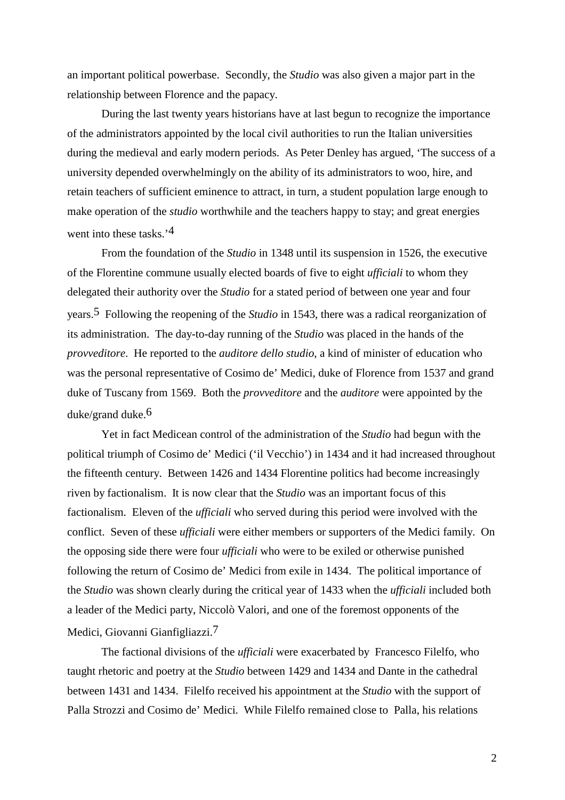an important political powerbase. Secondly, the *Studio* was also given a major part in the relationship between Florence and the papacy.

During the last twenty years historians have at last begun to recognize the importance of the administrators appointed by the local civil authorities to run the Italian universities during the medieval and early modern periods. As Peter Denley has argued, 'The success of a university depended overwhelmingly on the ability of its administrators to woo, hire, and retain teachers of sufficient eminence to attract, in turn, a student population large enough to make operation of the *studio* worthwhile and the teachers happy to stay; and great energies went into these tasks.<sup>'4</sup>

From the foundation of the *Studio* in 1348 until its suspension in 1526, the executive of the Florentine commune usually elected boards of five to eight *ufficiali* to whom they delegated their authority over the *Studio* for a stated period of between one year and four years.5 Following the reopening of the *Studio* in 1543, there was a radical reorganization of its administration. The day-to-day running of the *Studio* was placed in the hands of the *provveditore*. He reported to the *auditore dello studio*, a kind of minister of education who was the personal representative of Cosimo de' Medici, duke of Florence from 1537 and grand duke of Tuscany from 1569. Both the *provveditore* and the *auditore* were appointed by the duke/grand duke.6

Yet in fact Medicean control of the administration of the *Studio* had begun with the political triumph of Cosimo de' Medici ('il Vecchio') in 1434 and it had increased throughout the fifteenth century. Between 1426 and 1434 Florentine politics had become increasingly riven by factionalism. It is now clear that the *Studio* was an important focus of this factionalism. Eleven of the *ufficiali* who served during this period were involved with the conflict. Seven of these *ufficiali* were either members or supporters of the Medici family. On the opposing side there were four *ufficiali* who were to be exiled or otherwise punished following the return of Cosimo de' Medici from exile in 1434. The political importance of the *Studio* was shown clearly during the critical year of 1433 when the *ufficiali* included both a leader of the Medici party, Niccolò Valori, and one of the foremost opponents of the Medici, Giovanni Gianfigliazzi.7

The factional divisions of the *ufficiali* were exacerbated by Francesco Filelfo, who taught rhetoric and poetry at the *Studio* between 1429 and 1434 and Dante in the cathedral between 1431 and 1434. Filelfo received his appointment at the *Studio* with the support of Palla Strozzi and Cosimo de' Medici. While Filelfo remained close to Palla, his relations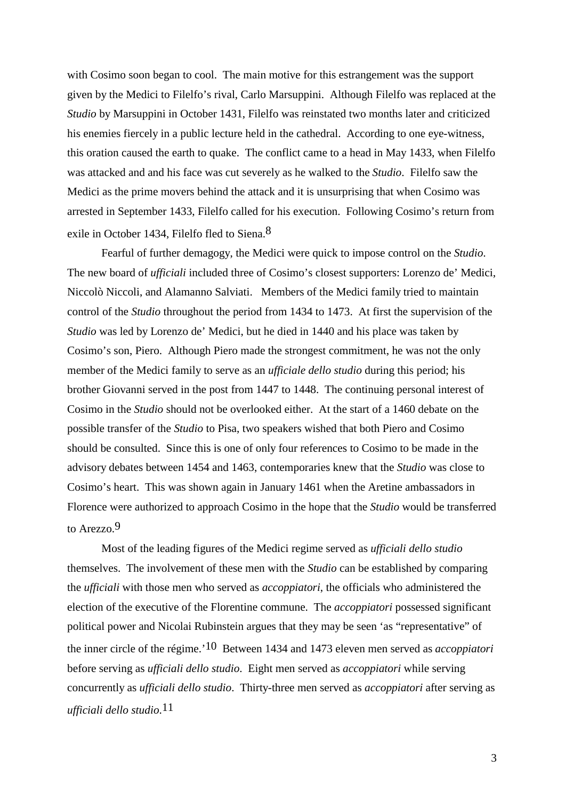with Cosimo soon began to cool. The main motive for this estrangement was the support given by the Medici to Filelfo's rival, Carlo Marsuppini. Although Filelfo was replaced at the *Studio* by Marsuppini in October 1431, Filelfo was reinstated two months later and criticized his enemies fiercely in a public lecture held in the cathedral. According to one eye-witness, this oration caused the earth to quake. The conflict came to a head in May 1433, when Filelfo was attacked and and his face was cut severely as he walked to the *Studio*. Filelfo saw the Medici as the prime movers behind the attack and it is unsurprising that when Cosimo was arrested in September 1433, Filelfo called for his execution. Following Cosimo's return from exile in October 1434, Filelfo fled to Siena.<sup>8</sup>

Fearful of further demagogy, the Medici were quick to impose control on the *Studio*. The new board of *ufficiali* included three of Cosimo's closest supporters: Lorenzo de' Medici, Niccolò Niccoli, and Alamanno Salviati. Members of the Medici family tried to maintain control of the *Studio* throughout the period from 1434 to 1473. At first the supervision of the *Studio* was led by Lorenzo de' Medici, but he died in 1440 and his place was taken by Cosimo's son, Piero. Although Piero made the strongest commitment, he was not the only member of the Medici family to serve as an *ufficiale dello studio* during this period; his brother Giovanni served in the post from 1447 to 1448. The continuing personal interest of Cosimo in the *Studio* should not be overlooked either. At the start of a 1460 debate on the possible transfer of the *Studio* to Pisa, two speakers wished that both Piero and Cosimo should be consulted. Since this is one of only four references to Cosimo to be made in the advisory debates between 1454 and 1463, contemporaries knew that the *Studio* was close to Cosimo's heart. This was shown again in January 1461 when the Aretine ambassadors in Florence were authorized to approach Cosimo in the hope that the *Studio* would be transferred to Arezzo.9

Most of the leading figures of the Medici regime served as *ufficiali dello studio* themselves. The involvement of these men with the *Studio* can be established by comparing the *ufficiali* with those men who served as *accoppiatori*, the officials who administered the election of the executive of the Florentine commune. The *accoppiatori* possessed significant political power and Nicolai Rubinstein argues that they may be seen 'as "representative" of the inner circle of the régime.'10 Between 1434 and 1473 eleven men served as *accoppiatori* before serving as *ufficiali dello studio*. Eight men served as *accoppiatori* while serving concurrently as *ufficiali dello studio*. Thirty-three men served as *accoppiatori* after serving as *ufficiali dello studio*.11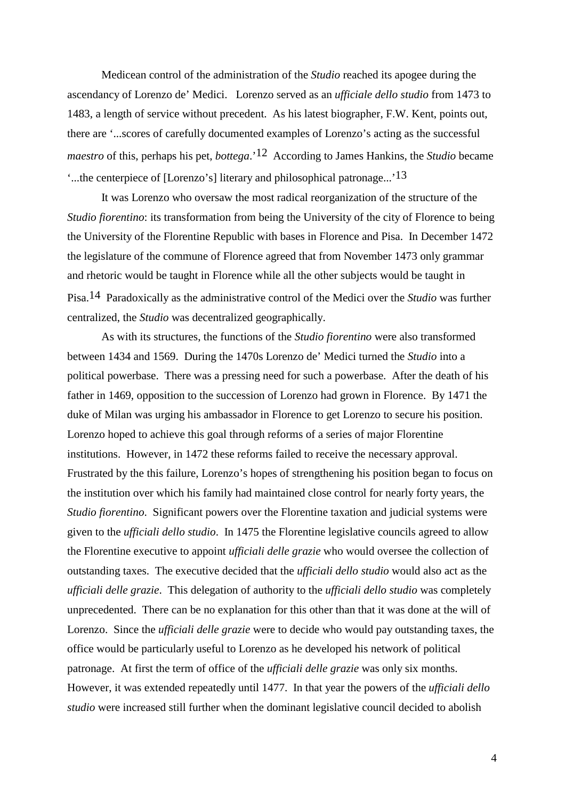Medicean control of the administration of the *Studio* reached its apogee during the ascendancy of Lorenzo de' Medici. Lorenzo served as an *ufficiale dello studio* from 1473 to 1483, a length of service without precedent. As his latest biographer, F.W. Kent, points out, there are '...scores of carefully documented examples of Lorenzo's acting as the successful *maestro* of this, perhaps his pet, *bottega*.'12 According to James Hankins, the *Studio* became '...the centerpiece of [Lorenzo's] literary and philosophical patronage...'13

It was Lorenzo who oversaw the most radical reorganization of the structure of the *Studio fiorentino*: its transformation from being the University of the city of Florence to being the University of the Florentine Republic with bases in Florence and Pisa. In December 1472 the legislature of the commune of Florence agreed that from November 1473 only grammar and rhetoric would be taught in Florence while all the other subjects would be taught in Pisa.14 Paradoxically as the administrative control of the Medici over the *Studio* was further centralized, the *Studio* was decentralized geographically.

As with its structures, the functions of the *Studio fiorentino* were also transformed between 1434 and 1569. During the 1470s Lorenzo de' Medici turned the *Studio* into a political powerbase. There was a pressing need for such a powerbase. After the death of his father in 1469, opposition to the succession of Lorenzo had grown in Florence. By 1471 the duke of Milan was urging his ambassador in Florence to get Lorenzo to secure his position. Lorenzo hoped to achieve this goal through reforms of a series of major Florentine institutions. However, in 1472 these reforms failed to receive the necessary approval. Frustrated by the this failure, Lorenzo's hopes of strengthening his position began to focus on the institution over which his family had maintained close control for nearly forty years, the *Studio fiorentino*. Significant powers over the Florentine taxation and judicial systems were given to the *ufficiali dello studio*. In 1475 the Florentine legislative councils agreed to allow the Florentine executive to appoint *ufficiali delle grazie* who would oversee the collection of outstanding taxes. The executive decided that the *ufficiali dello studio* would also act as the *ufficiali delle grazie*. This delegation of authority to the *ufficiali dello studio* was completely unprecedented. There can be no explanation for this other than that it was done at the will of Lorenzo. Since the *ufficiali delle grazie* were to decide who would pay outstanding taxes, the office would be particularly useful to Lorenzo as he developed his network of political patronage. At first the term of office of the *ufficiali delle grazie* was only six months. However, it was extended repeatedly until 1477. In that year the powers of the *ufficiali dello studio* were increased still further when the dominant legislative council decided to abolish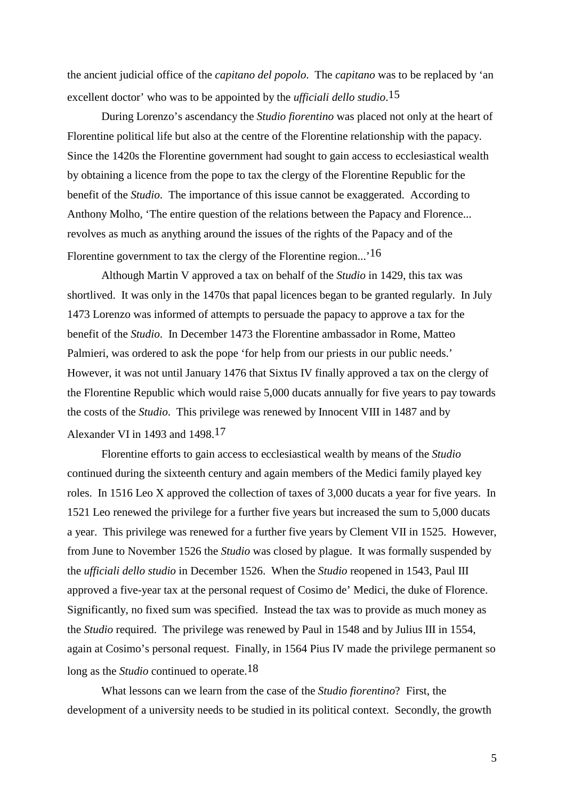the ancient judicial office of the *capitano del popolo*. The *capitano* was to be replaced by 'an excellent doctor' who was to be appointed by the *ufficiali dello studio*. 15

During Lorenzo's ascendancy the *Studio fiorentino* was placed not only at the heart of Florentine political life but also at the centre of the Florentine relationship with the papacy. Since the 1420s the Florentine government had sought to gain access to ecclesiastical wealth by obtaining a licence from the pope to tax the clergy of the Florentine Republic for the benefit of the *Studio*. The importance of this issue cannot be exaggerated. According to Anthony Molho, 'The entire question of the relations between the Papacy and Florence... revolves as much as anything around the issues of the rights of the Papacy and of the Florentine government to tax the clergy of the Florentine region...'<sup>16</sup>

Although Martin V approved a tax on behalf of the *Studio* in 1429, this tax was shortlived. It was only in the 1470s that papal licences began to be granted regularly. In July 1473 Lorenzo was informed of attempts to persuade the papacy to approve a tax for the benefit of the *Studio*. In December 1473 the Florentine ambassador in Rome, Matteo Palmieri, was ordered to ask the pope 'for help from our priests in our public needs.' However, it was not until January 1476 that Sixtus IV finally approved a tax on the clergy of the Florentine Republic which would raise 5,000 ducats annually for five years to pay towards the costs of the *Studio*. This privilege was renewed by Innocent VIII in 1487 and by Alexander VI in 1493 and 1498.17

Florentine efforts to gain access to ecclesiastical wealth by means of the *Studio* continued during the sixteenth century and again members of the Medici family played key roles. In 1516 Leo X approved the collection of taxes of 3,000 ducats a year for five years. In 1521 Leo renewed the privilege for a further five years but increased the sum to 5,000 ducats a year. This privilege was renewed for a further five years by Clement VII in 1525. However, from June to November 1526 the *Studio* was closed by plague. It was formally suspended by the *ufficiali dello studio* in December 1526. When the *Studio* reopened in 1543, Paul III approved a five-year tax at the personal request of Cosimo de' Medici, the duke of Florence. Significantly, no fixed sum was specified. Instead the tax was to provide as much money as the *Studio* required. The privilege was renewed by Paul in 1548 and by Julius III in 1554, again at Cosimo's personal request. Finally, in 1564 Pius IV made the privilege permanent so long as the *Studio* continued to operate.18

What lessons can we learn from the case of the *Studio fiorentino*? First, the development of a university needs to be studied in its political context. Secondly, the growth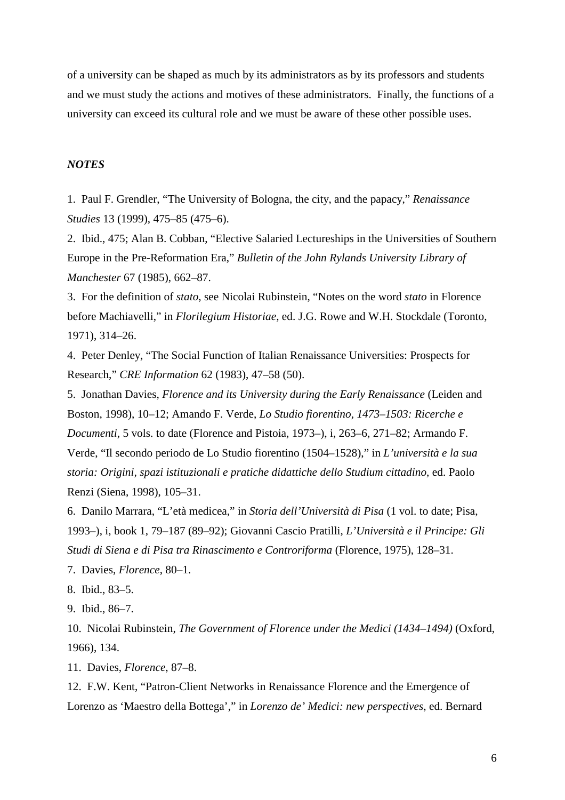of a university can be shaped as much by its administrators as by its professors and students and we must study the actions and motives of these administrators. Finally, the functions of a university can exceed its cultural role and we must be aware of these other possible uses.

## *NOTES*

1. Paul F. Grendler, "The University of Bologna, the city, and the papacy," *Renaissance Studies* 13 (1999), 475–85 (475–6).

2. Ibid., 475; Alan B. Cobban, "Elective Salaried Lectureships in the Universities of Southern Europe in the Pre-Reformation Era," *Bulletin of the John Rylands University Library of Manchester* 67 (1985), 662–87.

3. For the definition of *stato*, see Nicolai Rubinstein, "Notes on the word *stato* in Florence before Machiavelli," in *Florilegium Historiae*, ed. J.G. Rowe and W.H. Stockdale (Toronto, 1971), 314–26.

4. Peter Denley, "The Social Function of Italian Renaissance Universities: Prospects for Research," *CRE Information* 62 (1983), 47–58 (50).

5. Jonathan Davies, *Florence and its University during the Early Renaissance* (Leiden and Boston, 1998), 10–12; Amando F. Verde, *Lo Studio fiorentino, 1473–1503: Ricerche e Documenti*, 5 vols. to date (Florence and Pistoia, 1973–), i, 263–6, 271–82; Armando F. Verde, "Il secondo periodo de Lo Studio fiorentino (1504–1528)," in *L'università e la sua storia: Origini, spazi istituzionali e pratiche didattiche dello Studium cittadino*, ed. Paolo Renzi (Siena, 1998), 105–31.

6. Danilo Marrara, "L'età medicea," in *Storia dell'Università di Pisa* (1 vol. to date; Pisa, 1993–), i, book 1, 79–187 (89–92); Giovanni Cascio Pratilli, *L'Università e il Principe: Gli Studi di Siena e di Pisa tra Rinascimento e Controriforma* (Florence, 1975), 128–31.

7. Davies, *Florence*, 80–1.

8. Ibid., 83–5.

9. Ibid., 86–7.

10. Nicolai Rubinstein, *The Government of Florence under the Medici (1434–1494)* (Oxford, 1966), 134.

11. Davies, *Florence*, 87–8.

12. F.W. Kent, "Patron-Client Networks in Renaissance Florence and the Emergence of Lorenzo as 'Maestro della Bottega'," in *Lorenzo de' Medici: new perspectives*, ed. Bernard